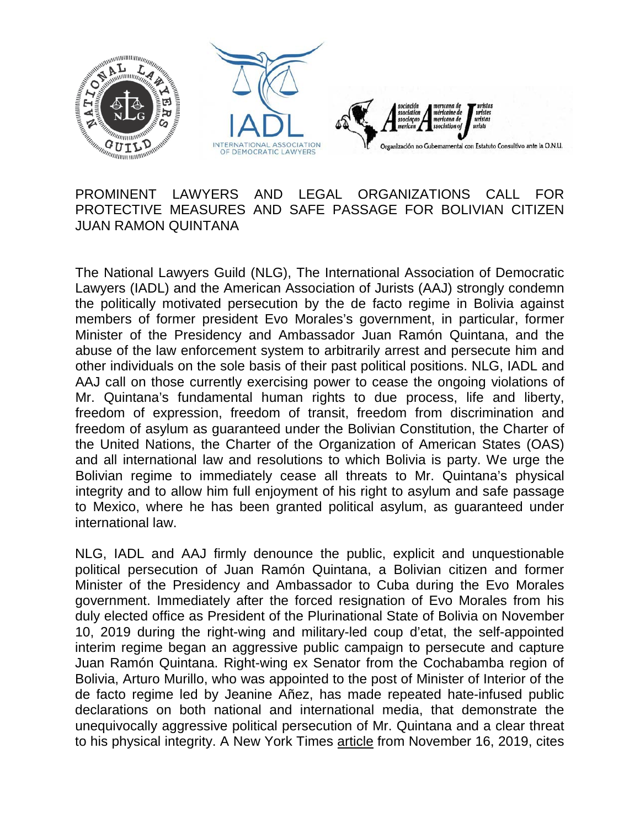

## PROMINENT LAWYERS AND LEGAL ORGANIZATIONS CALL FOR PROTECTIVE MEASURES AND SAFE PASSAGE FOR BOLIVIAN CITIZEN JUAN RAMON QUINTANA

The National Lawyers Guild (NLG), The International Association of Democratic Lawyers (IADL) and the American Association of Jurists (AAJ) strongly condemn the politically motivated persecution by the de facto regime in Bolivia against members of former president Evo Morales's government, in particular, former Minister of the Presidency and Ambassador Juan Ramón Quintana, and the abuse of the law enforcement system to arbitrarily arrest and persecute him and other individuals on the sole basis of their past political positions. NLG, IADL and AAJ call on those currently exercising power to cease the ongoing violations of Mr. Quintana's fundamental human rights to due process, life and liberty, freedom of expression, freedom of transit, freedom from discrimination and freedom of asylum as guaranteed under the Bolivian Constitution, the Charter of the United Nations, the Charter of the Organization of American States (OAS) and all international law and resolutions to which Bolivia is party. We urge the Bolivian regime to immediately cease all threats to Mr. Quintana's physical integrity and to allow him full enjoyment of his right to asylum and safe passage to Mexico, where he has been granted political asylum, as guaranteed under international law.

NLG, IADL and AAJ firmly denounce the public, explicit and unquestionable political persecution of Juan Ramón Quintana, a Bolivian citizen and former Minister of the Presidency and Ambassador to Cuba during the Evo Morales government. Immediately after the forced resignation of Evo Morales from his duly elected office as President of the Plurinational State of Bolivia on November 10, 2019 during the right-wing and military-led coup d'etat, the self-appointed interim regime began an aggressive public campaign to persecute and capture Juan Ramón Quintana. Right-wing ex Senator from the Cochabamba region of Bolivia, Arturo Murillo, who was appointed to the post of Minister of Interior of the de facto regime led by Jeanine Añez, has made repeated hate-infused public declarations on both national and international media, that demonstrate the unequivocally aggressive political persecution of Mr. Quintana and a clear threat to his physical integrity. A New York Times [article](https://www.nytimes.com/2019/11/16/world/americas/bolivia-anez-morales.html) from November 16, 2019, cites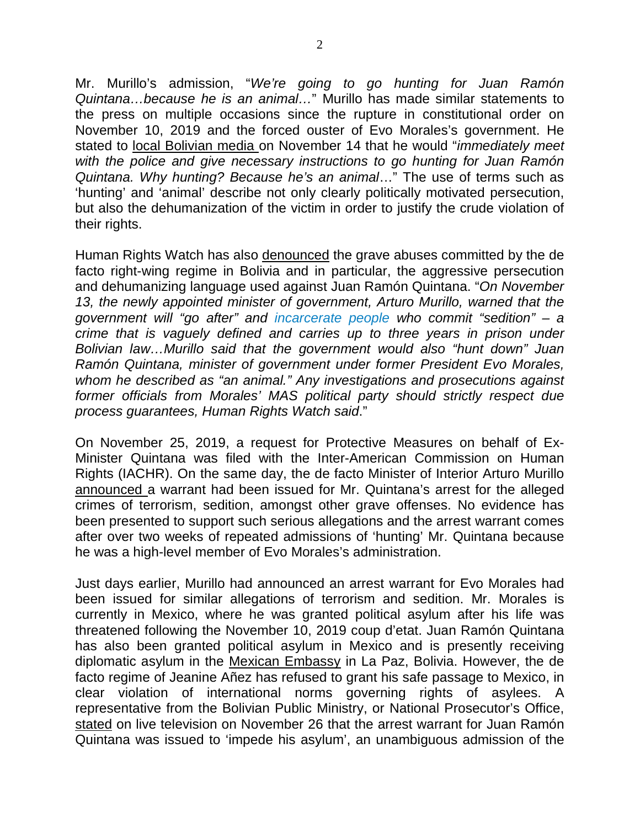Mr. Murillo's admission, "*We're going to go hunting for Juan Ramón Quintana…because he is an animal…*" Murillo has made similar statements to the press on multiple occasions since the rupture in constitutional order on November 10, 2019 and the forced ouster of Evo Morales's government. He stated to local [Bolivian](https://urgente24.com/mundo/latinoamerica/la-caceria-de-juan-ramon-quintana-el-hombre-de-vietnam) media on November 14 that he would "*immediately meet with the police and give necessary instructions to go hunting for Juan Ramón Quintana. Why hunting? Because he's an animal*…" The use of terms such as 'hunting' and 'animal' describe not only clearly politically motivated persecution, but also the dehumanization of the victim in order to justify the crude violation of their rights.

Human Rights Watch has also [denounced](https://www.hrw.org/news/2019/11/19/bolivia-interim-government-adopts-abusive-measures) the grave abuses committed by the de facto right-wing regime in Bolivia and in particular, the aggressive persecution and dehumanizing language used against Juan Ramón Quintana. "*On November 13, the newly appointed minister of government, Arturo Murillo, warned that the government will "go after" and [incarcerate](https://www.youtube.com/watch?v=92rK0zqgYoY) people who commit "sedition" – a crime that is vaguely defined and carries up to three years in prison under Bolivian law…Murillo said that the government would also "hunt down" Juan Ramón Quintana, minister of government under former President Evo Morales, whom he described as "an animal." Any investigations and prosecutions against former officials from Morales' MAS political party should strictly respect due process guarantees, Human Rights Watch said*."

On November 25, 2019, a request for Protective Measures on behalf of Ex-Minister Quintana was filed with the Inter-American Commission on Human Rights (IACHR). On the same day, the de facto Minister of Interior Arturo Murillo [announced](https://www.atb.com.bo/pol%C3%ADtica/arturo-murillo-confirma-orden-de-aprehensi%C3%B3n-para-quintana-por-sedici%C3%B3n-y-terrorismo) a warrant had been issued for Mr. Quintana's arrest for the alleged crimes of terrorism, sedition, amongst other grave offenses. No evidence has been presented to support such serious allegations and the arrest warrant comes after over two weeks of repeated admissions of 'hunting' Mr. Quintana because he was a high-level member of Evo Morales's administration.

Just days earlier, Murillo had announced an arrest warrant for Evo Morales had been issued for similar allegations of terrorism and sedition. Mr. Morales is currently in Mexico, where he was granted political asylum after his life was threatened following the November 10, 2019 coup d'etat. Juan Ramón Quintana has also been granted political asylum in Mexico and is presently receiving diplomatic asylum in the Mexican [Embassy](https://www.france24.com/en/20191126-ex-morales-officials-take-refuge-in-mexico-embassy-in-bolivia) in La Paz, Bolivia. However, the de facto regime of Jeanine Añez has refused to grant his safe passage to Mexico, in clear violation of international norms governing rights of asylees. A representative from the Bolivian Public Ministry, or National Prosecutor's Office, [stated](https://www.youtube.com/watch?v=ZSp21nxbsio&feature=youtu.be) on live television on November 26 that the arrest warrant for Juan Ramón Quintana was issued to 'impede his asylum', an unambiguous admission of the